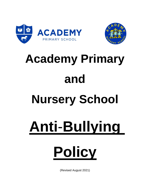



# **Academy Primary and Nursery School Anti**-**Bullying**

# **Policy**

(Revised August 2021)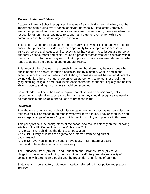#### *Mission Statement/Values*

Academy Primary School recognises the value of each child as an individual, and the importance of nurturing every aspect of his/her personality - intellectual, creative, emotional, physical and spiritual. All individuals are of equal worth; therefore tolerance, respect for others and a readiness to support and care for each other within the community and the world at large are essential.

The school's vision and its values are necessarily closely inter-linked, and we need to ensure that pupils are provided with the opportunity to develop a reasoned set of attitudes, beliefs and values. Whilst recognising that certain moral issues are personal and family based, moral and social issues do present themselves for discussion within the curriculum. Information is given so that pupils can make considered decisions, when ready to do so, from a base of sound understanding.

Tolerance of others' values is extremely important, but there may be occasions when pupils need to be shown, through discussion and by example, what is and is not acceptable both in and outside school. Although some issues will be viewed differently by individuals, others must generate universal agreement; amongst these, bullying, lying, stealing, religious and racial intolerance cannot be condoned. Equally, the beliefs, ideas, property and rights of others should be respected.

Basic standards of good behaviour require that all should be considerate, polite, respectful and helpful towards each other, and that they should recognise the need to be responsible and reliable and to keep to promises made.

# *Rationale*

The above section from our school mission statement and school values provides the rationale for our approach to bullying in whatever form it takes. They encapsulate and encourage a range of values / rights which direct our policy and practice in this area.

This policy reflects the caring ethos of the school and focuses closely on the following articles of the UN Convention on the Rights of a Child.

Article 28 - Every child has the right to an education.

Article 19 – Every child has the right to be protected from being hurt or badly treated

Article 12 –Every child has the right to have a say in all matters affecting them and to have their views taken seriously

The Education Order (NI) 1998 and Education and Libraries Order (NI) set out obligations on schools including the promotion of self discipline, the necessity of consulting with parents and pupils and the prevention of all forms of bullying.

Statutory and non-statutory guidance materials referred to in our policy and practice include: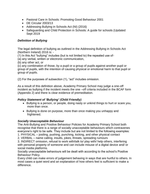- Pastoral Care in Schools: Promoting Good Behaviour 2001
- DE Circular 2003/13
- Addressing Bullying in Schools Act (NI) (2016)
- Safeguarding and Child Protection in Schools: A guide for schools (Updated Sept 2019

# *Definition of Bullying*

The legal definition of bullying as outlined in the Addressing Bullying in Schools Act (Northern Ireland) 2016 is: -

(1) In this Act "bullying" includes (but is not limited to) the repeated use of-

(a) any verbal, written or electronic communication,

(b) any other act, or

(c) any combination of those, by a pupil or a group of pupils against another pupil or group of pupils, with the intention of causing physical or emotional harm to that pupil or group of pupils.

(2) For the purposes of subsection (1), "act" includes omission.

As a result of this definition above, Academy Primary School may judge a one-off incident as bullying if the incident meets the one –off criteria included in the BCAF form (Appendix 2) and there is clear evidence of premeditation.

# *Policy Statement of 'Bullying' (Child Friendly)*

- Bullying is a person, or people, doing nasty or unkind things to hurt or scare you, more than once.
- Bullying is done on purpose, more than once making you unhappy and frightened.

#### *Socially Unacceptable Behaviour*

The Anti-Bullying and Positive Behaviour Policies for Academy Primary School both recognise that there is a range of socially unacceptable behaviours which contravenes everyone's right to be safe. They include but are not limited to the following examples:

1. PHYSICAL – jostling, pushing, punching, kicking, and other physical contact

2. VERBAL – name calling, insults, jokes, threats, spreading rumours

3. INDIRECT omission, refusal to work with/talk to/ play with/ help others, interfering with personal property of someone and can include misuse of a digital device and/ or social media platforms.

Socially unacceptable behaviours will be dealt with according to the school's Positive Behaviour Policy.

Every child can make errors of judgement behaving in ways that are hurtful to others. In most cases a quiet word and an explanation of how others feel is sufficient to make a difference.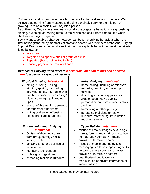Children can and do learn over time how to care for themselves and for others. We believe that learning from mistakes and being genuinely sorry for them is part of growing up to be a socially well-adjusted person.

As outlined by EA, some examples of socially unacceptable behaviour is e.g. pushing, nipping, punching, spreading rumours etc. which can occur from time to time when children are playing together.

Socially unacceptable behaviour however can become bullying behaviour when the information gathered by members of staff and shared with members of the Anti-Bullying Support Team clearly demonstrates that the unacceptable behaviours meet the criteria listed below. i.e.

- Intentional
- Targeted at a specific pupil or group of pupils
- Repeated (but is not limited to this)
- Causing physical or emotional harm

#### *Methods of Bullying when there is a deliberate intention to hurt and or cause harm to a person or group of persons*

| <b>Physical Bullying: intentional</b><br>hitting, pushing, kicking,<br>tripping, spitting, hair pulling,<br>throwing things, interfering with<br>another's property by stealing /<br>hiding / damaging / intruding<br>upon it;<br>extortion/ threatening demands<br>for money or other items;<br>writing or drawing offensive<br>notes/graffiti about another. | <b>Verbal Bullying: intentional</b><br>name calling, insulting or offensive<br>remarks, taunting, accusing, put<br>downs;<br>ridiculing another's appearance<br>$\bullet$<br>/way of speaking / disability /<br>personal mannerisms / race / colour<br>/ religion;<br>humiliating another publicly;<br>$\bullet$<br>spreading malicious or nasty<br>rumours, threatening, intimidation,<br>mocking, sarcasm.                                     |
|----------------------------------------------------------------------------------------------------------------------------------------------------------------------------------------------------------------------------------------------------------------------------------------------------------------------------------------------------------------|--------------------------------------------------------------------------------------------------------------------------------------------------------------------------------------------------------------------------------------------------------------------------------------------------------------------------------------------------------------------------------------------------------------------------------------------------|
| <b>Emotional/Indirect Bullying:</b><br><i><b>intentional</b></i><br>Omission/shunning others<br>from group activity / social<br>setting or play;<br>belittling another's abilities or<br>achievements;<br>menacing looks/stares;<br>rude signs or gestures;<br>spreading malicious rumours.                                                                    | <b>Cyber Bullying: intentional</b><br>misuse of emails, images, text, blogs,<br>tweets, forums and chat rooms to hurt<br>/ embarrass / demean / harass /<br>provoke or humiliate another;<br>misuse of mobile phones by text<br>$\bullet$<br>messaging / calls or images - again to<br>hurt/embarrass/demean/harass/<br>provoke or humiliate another;<br>unauthorised publication or<br>manipulation of private information or<br>impersonation. |

These categories may be inter-related.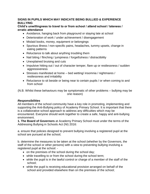# **SIGNS IN PUPILS WHICH MAY INDICATE BEING BULLIED & EXPERIENCE BULLYING**

# **Child's unwillingness to travel to or from school / attend school / lateness / erratic attendance**

- Avoidance, hanging back from playground or staying late at school
- Deterioration of work / under achievement / disengagement
- Mislaid books, money, equipment or belongings
- Spurious illness / non-specific pains, headaches, tummy upsets, change in eating patterns
- Reluctance to talk about anything troubling them
- Nail biting / flinching / jumpiness / forgetfulness / distractibility
- Unexplained bruising and cuts
- Impulsive hitting out / out of character temper, flare up or restlessness / sudden aggressiveness
- Stresses manifested at home bed wetting/ insomnia / nightmares / restlessness and irritability
- Reluctance to sit beside or being near to certain pupils / or when coming to and from school

(N.B. Whilst these behaviours may be symptomatic of other problems – bullying may be one reason)

# *Responsibilities*

All members of the school community have a key role in promoting, implementing and supporting the Anti-Bullying policy of Academy Primary School. It is important that there is a collaborative school approach to address any difficulties which may be encountered. Everyone should work together to create a safe, happy and anti-bullying environment.

**1. The Board of Governors** at Academy Primary School must under the terms of the Addressing Bullying in Schools Act (NI) 2016:

a. ensure that policies designed to prevent bullying involving a registered pupil at the school are pursued at the school;

b. determine the measures to be taken at the school (whether by the Governors, the staff of the school or other persons) with a view to preventing bullying involving a registered pupil at the school: -

- on the premises of the school during the school day;
- while travelling to or from the school during the school term;
- while the pupil is in the lawful control or charge of a member of the staff of the school;
- while the pupil is receiving educational provision arranged on behalf of the school and provided elsewhere than on the premises of the school;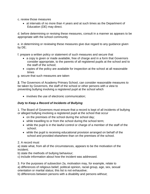- c. review those measures
	- at intervals of no more than 4 years and at such times as the Department of Education (DE) may direct.

d. before determining or revising these measures, consult in a manner as appears to be appropriate with the school community

e. in determining or reviewing these measures give due regard to any guidance given by DE;

f. prepare a written policy or statement of such measures and secure that

- a copy is given or made available, free of charge and in a form that Governors consider appropriate, to the parents of all registered pupils at the school and to the staff of the school;
- copies of the policy are available for inspection at the school at all reasonable times

g. secure that such measures are taken

**2.** The Governors of Academy Primary School, can consider reasonable measures to be taken by Governors, the staff of the school or other persons with a view to preventing bullying involving a registered pupil at the school which

• involves the use of electronic communication;

#### *Duty to Keep a Record of Incidents of Bullying*

1. The Board of Governors must ensure that a record is kept of all incidents of bullying or alleged bullying involving a registered pupil at the school that occur

- on the premises of the school during the school day;
- while travelling to or from the school during the school term;
- while the pupil is in the lawful control or charge of a member of the staff of the school;
- while the pupil is receiving educational provision arranged on behalf of the school and provided elsewhere than on the premises of the school.

#### 2. A record must

a) state what, from all of the circumstances, appears to be the motivation of the incident;

b) state the methods of bullying behaviour;

c) include information about how the incident was addressed.

3. For the purposes of subsection 2a, motivation may, for example, relate to a) differences of religious belief, political opinion, racial group, age, sex, sexual orientation or marital status; this list is not exhaustive;

b) differences between persons with a disability and persons without;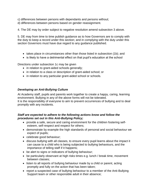c) differences between persons with dependants and persons without;

d) differences between persons based on gender reassignment.

4. The DE may by order subject to negative resolution amend subsection 3 above.

5. DE may from time to time publish guidance as to how Governors are to comply with the duty to keep a record under this section; and in complying with the duty under this section Governors must have due regard to any guidance published.

- takes place in circumstances other than those listed in subsection (1b); and
- is likely to have a detrimental effect on that pupil's education at the school

Directions under subsection 1c may be given

- in relation to grant-aided schools generally;
- in relation to a class or description of grant-aided school; or
- in relation to any particular grant-aided school or schools.

# *Developing an Anti-Bullying Culture*

At Academy staff, pupils and parents work together to create a happy, caring, learning environment. Bullying in any of the above forms will not be tolerated. It is the responsibility of everyone to aim to prevent occurrences of bullying and to deal promptly with any incidents.

# *Staff are expected to adhere to the following actions know and follow the procedures set out in this Anti-Bullying Policy;*

- provide a safe, secure and caring environment for the children fostering selfesteem, self-respect and respect for others;
- demonstrate by example the high standards of personal and social behaviour we expect of pupils;
- celebrate good behaviour;
- discuss bullying with all classes, to ensure every pupil learns about the impact it can cause to a child who is being subjected to bullying behaviours, and the importance of telling staff if it happens;
- be alert to signs or indicators of bullying behaviour;
- be particularly observant at high risks times e.g. lunch / break time, movement between classes;
- listen to all reports of bullying behaviour made by a child or parent, acting promptly and fully on the action that has been taken;
- report a suspected case of bullying behaviour to a member of the Anti-Bullying Support team or other responsible adult in their absence;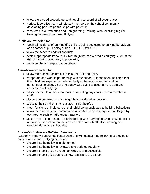- follow the agreed procedures, and keeping a record of all occurrences;
- work collaboratively with all relevant members of the school community developing positive partnerships with parents;
- complete Child Protection and Safeguarding Training, also receiving regular training on dealing with Anti Bullying

#### **Pupils are expected to**:

- report all incidents of bullying (if a child is being subjected to bullying behaviours or if another pupil is being bullied – TELL SOMEONE);
- follow the school's code of conduct:
- avoid inappropriate behaviour which might be considered as bullying, even at the risk of incurring temporary unpopularity;
- be respectful and supportive to others.

# **Parents are expected to**:

- follow the procedures set out in this Anti-Bullying Policy
- co-operate and work in partnership with the school, if it has been indicated that their child has experienced alleged bullying behaviours or their child is demonstrating alleged bullying behaviours trying to ascertain the truth and implications of bullying
- advise their child of the importance of reporting any concerns to a member of staff.
- discourage behaviours which might be considered as bullying.
- stress to their children that retaliation is not helpful.
- watch for signs or indicators of their child being subjected to bullying behaviours
- follow the procedures of communication in Academy Primary School. **Begin by contacting their child's class teacher**;
- accept their role of responsibility in dealing with bullying behaviours which occur outside the school so that they do not interfere with effective learning and teaching during the school day.

# *Strategies to Prevent Bullying Behaviours*

Academy Primary School has established and will maintain the following strategies to prevent and reduce bullying behaviour:

- Ensure that the policy is implemented.
- Ensure that the policy is reviewed and updated regularly.
- Ensure the policy is on the school website and accessible.
- Ensure the policy is given to all new families to the school.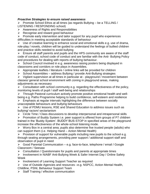# *Proactive Strategies to ensure raised awareness*

 $\triangleright$  Promote School Ethos at all times (as regards Bullying – be a TELLING / LISTENING / RESPONDING school)

 $\triangleright$  Awareness of Rights and Responsibilities

 $\triangleright$  Recognise and reward good behaviour

 $\triangleright$  Promote early intervention and tailor support for any pupil who experiences difficulties in meeting acceptable standards of behaviour

 $\triangleright$  Use of creative learning to enhance social and emotional skills e.g. use of drama, role-play / novels, children will be guided to understand the feelings of bullied children and practice skills needed to avoid bullying

 $\triangleright$  Ensure all staff parents and pupils and the HPS community are aware of the staff code of conduct, school code of conduct and are familiar with the Anti- Bullying Policy and procedures for dealing with reports of bullying behaviour.

 $\triangleright$  School Council involved in e.g. awareness raising posters being displayed in classrooms and corridors or role plays in Assemblies.

 $\triangleright$  Appropriate leaflets / literature / online links will be provided for children

 $\triangleright$  School Assemblies – address Bullying / provide Anti-Bullying strategies

 Vigilant supervision at all times in particular at - playground / movement between classes/ general school environment with zoning in playground areas, making adjustments as necessary

 $\triangleright$  Consultation with school community e.g. regarding the effectiveness of the policy, monitoring levels of pupil / staff well-being and relationships

 Through Pastoral curriculum actively promote positive emotional health and wellbeing e.g. Paths Programme helping to build confidence, self-esteem and resilience

 $\triangleright$  Emphasis at regular intervals highlighting the difference between socially unacceptable behaviours and bullying behaviours

 $\triangleright$  Use of PDMU lessons, RSE and Shared Education to address issues such as bullying/ racism/ sectarianism

 $\triangleright$  Circle Time / Class discussions to develop interpersonal and intrapersonal skills

 Promotion of Buddy System i.e. peer support is offered from groups of P7 children trained in the 'Buddy System'. BUDDY BUS-STOP in specified areas of the playground increase the effectiveness of the whole-school listening mode.

 $\triangleright$  Worry Box in a central area; pupils also determine five trusted people (adults) who can support them (i.e. Helping Hand – Action Mental Health)

 $\triangleright$  Provision of support for vulnerable pupils including new pupils to the school e.g. through seating arrangements, providing peer support / additional support staff and observation of pupil in need

 $\triangleright$  Good Parental Communication – e.g. face-to-face, telephone / email / Google Classroom / Seesaw

 $\triangleright$  Consultation / Questionnaire for pupils and parents at appropriate times

 Involvement in NIABF Anti-Bullying Week & Safer Internet Day / Online Safety Week

 $\triangleright$  Involvement of Learning Support Teacher as required

 Use of Outside Agencies and resources –e.g. NSPCC, Action Mental Health, Childline, PSNI, Behaviour Support Team

 $\triangleright$  Staff Training / effective communication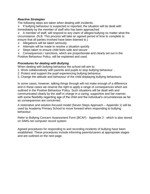#### *Reactive Strategies*

The following steps are taken when dealing with incidents:

 $\triangleright$  If bullying behaviour is suspected or reported, the situation will be dealt with immediately by the member of staff who has been approached

 $\triangleright$  A member of staff, will respond to any claim of alleged bullying no matter what the circumstance. (N.B. This process will take an agreed period of time to complete to ensure that all parties involved have been listened to.)

- $\triangleright$  Allegations will be taken seriously
- $\triangleright$  Attempts will be made to resolve a situation quickly
- $\triangleright$  Steps taken to ensure child feels safe and secure

 $\triangleright$  Consequences / sanctions, which are proportionate and clearly set out in the Positive Behaviour Policy, will be explained and used.

# *Procedures for dealing with Bullying*

When dealing with bullying behaviour the school will aim to:

- 1. Work collaboratively with parents and pupils to stop bullying behaviour .
- 2. Protect and support the pupil experiencing bullying behaviour.
- 3. Change the attitude and behaviour of the child displaying bullying behaviours.

In some cases, however, talking things through will not make enough of a difference and in these cases we reserve the right to apply a range of consequences which are outlined in the Positive Behaviour Policy. Such situations will be dealt with and communicated clearly by the staff in charge in a caring, supportive and fair manner, with some flexibility regarding age of the child and the individual's circumstances as far as consequences are concerned.

A restorative and solution-focused model (Seven Steps Approach – Appendix 1) will be used by Academy Primary School to move forward when responding to bullying behaviour.

Refer to Bullying Concern Assessment Form (BCAF) - Appendix 2 - which is also stored on SIMS.net computer record system.

Agreed procedures for responding to and recording incidents of bullying have been established. These procedures include informing parents/carers at appropriate stages and are outlined on the next page.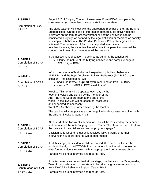| <b>1. STEP 1</b>                                                   | Page 1 & 2 of Bullying Concern Assessment Form (BCAF) completed by<br>class teacher (and member of support staff if appropriate)                                                                                                                                                                                                                                                                                                                                                                                                                                                                             |
|--------------------------------------------------------------------|--------------------------------------------------------------------------------------------------------------------------------------------------------------------------------------------------------------------------------------------------------------------------------------------------------------------------------------------------------------------------------------------------------------------------------------------------------------------------------------------------------------------------------------------------------------------------------------------------------------|
| <b>Completion of BCAF</b><br>PART <sub>1</sub>                     | The class teacher will meet with the appropriate member of the Anti-Bullying<br>Support Team. On the basis of information gathered, collectively use the<br>indicators on the form to assess whether or not the behaviour is to be<br>considered 'bullying', as defined by the legal definition or recorded as socially<br>unacceptable behaviour. The Positive Behaviour Policy strategies will be<br>actioned. The remainder of Part 1 is completed in all cases.<br>In either instance, the class teacher will contact the parent who raised the<br>concern confirming how the matter will be dealt with. |
| <b>2. STEP 2</b><br>Completion of BCAF<br>PART <sub>2</sub>        | If the assessment of concern is defined as bullying, the teacher will:<br>Clarify the nature of the bullying behaviour and complete page 3<br>(PART 2) of BCAF.                                                                                                                                                                                                                                                                                                                                                                                                                                              |
| <b>3. STEP 3</b><br><b>Completion of BCAF</b><br>PART <sub>3</sub> | Inform the parents of both the pupil experiencing bullying behaviour<br>(P.E.B.B.) and the Pupil Displaying Bullying Behaviour (P.D.B.B.) of the<br>situation. The class teacher will<br>begin the 2-week support cycle recording on Part 3 of BCAF<br>• send a 'BULLYING ALERT' email to staff.                                                                                                                                                                                                                                                                                                             |
|                                                                    | Week 1 - This form will be updated each day by the<br>teacher involved and signed by the member of the<br>Anti - Bullying Support Team at the end of this<br>week. Those involved will be observed, reassured<br>and supported as necessary.<br>Week $2 - As above, recorded twice by the teacher$<br>The teacher will note positive and/or negative incidents after consulting with<br>the children involved. (page 4 & 5)                                                                                                                                                                                  |
| <b>4. STEP 4</b><br><b>Completion of BCAF</b><br>PART 4 (a)        | At the end of the two-week intervention, this will be reviewed by the teacher<br>and member of the Anti-Bullying Support Team. The class teacher will inform<br>the parents of the children involved of progress. (page 6)<br>Decision as to whether situation is resolved fully / partially or further                                                                                                                                                                                                                                                                                                      |
| <b>5. STEP 5</b><br><b>Completion of BCAF</b><br>PART 4 (b)        | intervention / support required will be determined<br>If, at this stage, the incident is still unresolved, the teacher will refer the<br>incident directly to the DT/DDT/ Principal who will decide, with the teacher,<br>what further action is required with an appropriate timeframe established.<br>Parents will be kept informed and records kept.                                                                                                                                                                                                                                                      |
| <b>6. STEP 6</b><br><b>Continuation of BCAF</b><br>PART 4 (b)      | If the issue remains unresolved at this stage, it will move to the Safeguarding<br>Team for consideration of next steps to be taken. e.g. accessing support<br>from EWO / EA Behaviour Support Team / PSNI.<br>Parents will be kept informed and records kept.                                                                                                                                                                                                                                                                                                                                               |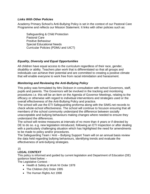# *Links With Other Policies*

Academy Primary School's Anti-Bullying Policy is set in the context of our Pastoral Care Programme and reflects our Mission Statement. It links with other policies such as:

Safeguarding & Child Protection Pastoral Care Positive Behaviour Special Educational Needs Curricular Policies (PDMU and UICT)

# *Equality, Diversity and Equal Opportunities*

All children have equal access to the curriculum regardless of their race, gender, disability or ability. Teachers plan work that is differentiated so that all groups and individuals can achieve their potential and are committed to creating a positive climate that will enable everyone to work free from racial intimidation and harassment.

# *Monitoring and Reviewing the Anti-Bullying Policy*

This policy was formulated by Mrs Dickson in consultation with school Governors, staff, pupils and parents. The Governors will be involved in the tracking and monitoring procedures i.e. this will be an item on the Agenda of Governor Meetings, relating to the efficacy or otherwise with regard to individual interventions and strategies used or the overall effectiveness of the Anti-Bullying Policy and practice.

The school will use the ETI Safeguarding proforma along with the SIMS.net records to check whole-school effectiveness. The school will continue to focuson ensuring that all members of the school community understand the difference between socially unacceptable and bullying behaviours making changes where needed to ensure they understand the differences.

The school will review measures at intervals of no more than 4 years or if directed by DE to do so. e.g. new legislation introduced, following an ETI Inspection or after dealing with a particularly challenging situation which has highlighted the need for amendments to be made to policy and/or procedures.

The Safeguarding Team / Anti – Bullying Support Team will on an annual basis review the data held regarding bullying behaviours, identifying trends and evaluate the effectiveness of anti-bullying strategies.

#### 15

#### **LEGAL CONTEXT**

This policy is informed and guided by current legislation and Department of Education (DE) guidance listed below: -

The Legislative Context: -

- Health & Safety at Work NI Order 1978
- The Children (NI) Order 1995
- The Human Rights Act 1998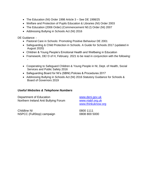- The Education (NI) Order 1998 Article 3 See DE 1998/25
- Welfare and Protection of Pupils Education & Libraries (NI) Order 2003
- The Education (2006 Order) (Commencement N0.2) Order (NI) 2007
- Addressing Bullying in Schools Act (NI) 2016

DE Guidance: -

- Pastoral Care in Schools: Promoting Positive Behaviour DE 2001
- Safeguarding & Child Protection in Schools. A Guide for Schools 2017 (updated in August 2020)
- Children & Young People's Emotional Health and Wellbeing in Education
- Framework, DE/ D of H, February. 2021 to be read in conjunction with the following: -
- Cooperating to Safeguard Children & Young People in NI, Dept. of Health, Social Services and Public Safety 2016
- Safeguarding Board for NI's (SBNI) Policies & Procedures 2017
- Addressing Bullying in Schools Act (NI) 2016 Statutory Guidance for Schools & Board of Governors 2019

# *Useful Websites & Telephone Numbers*

Department of Education [www.deni.gov.uk](http://www.deni.gov.uk/) Northern Ireland Anti Bullying Forum [www.niabf.org.uk](http://www.niabf.org.uk/)

[www.thinkuknow.org](http://www.thinkuknow.org/)

Childline NI 0800 1111 NSPCC (FullStop) campaign 0808 800 5000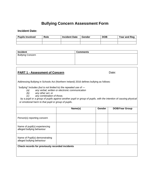# **Bullying Concern Assessment Form**

#### **Incident Date:**

| <b>Pupils Involved</b> | Role | <b>Incident Date</b> | Gender | <b>DOB</b> | <b>Year and Reg</b> |
|------------------------|------|----------------------|--------|------------|---------------------|
|                        |      |                      |        |            |                     |
|                        |      |                      |        |            |                     |

| <b>Incident</b>         | <b>Comments</b> |
|-------------------------|-----------------|
| <b>Bullying Concern</b> |                 |
|                         |                 |
|                         |                 |
|                         |                 |

# **PART 1 - Assessment of Concern**<br> **Date:**

Addressing Bullying in Schools Act (Northern Ireland) 2016 defines bullying as follows:

*"bullying" includes (but is not limited to) the repeated use of —*

- *(a) any verbal, written or electronic communication*
- *(b) any other act, or*
- *(c) any combination of those,*

by a pupil or a group of pupils against another pupil or group of pupils, with the intention of causing physical *or emotional harm to that pupil or group of pupils.*

|                                                              | Name(s) | Gender | <b>DOB/Year Group</b> |
|--------------------------------------------------------------|---------|--------|-----------------------|
| Person(s) reporting concern                                  |         |        |                       |
| Name of pupil(s) experiencing<br>alleged bullying behaviour  |         |        |                       |
| Name of Pupil(s) demonstrating<br>alleged bullying behaviour |         |        |                       |
| Check records for previously recorded incidents              |         |        |                       |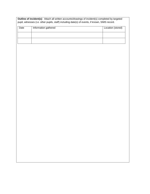| <b>Outline of incident(s):</b> Attach all written accounts/drawings of incident(s) completed by targeted<br>pupil, witnesses (i.e. other pupils, staff) including date(s) of events, if known, SIMS record. |  |  |  |  |  |  |
|-------------------------------------------------------------------------------------------------------------------------------------------------------------------------------------------------------------|--|--|--|--|--|--|
| Date<br>Information gathered<br>Location (stored)                                                                                                                                                           |  |  |  |  |  |  |
|                                                                                                                                                                                                             |  |  |  |  |  |  |
|                                                                                                                                                                                                             |  |  |  |  |  |  |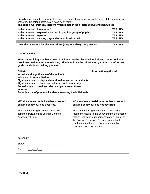Socially unacceptable behaviour becomes bullying behaviour when, on the basis of the information gathered, the criteria listed below have been met:

| The school will treat any incident which meets these criteria as bullying behaviours. |          |  |  |  |
|---------------------------------------------------------------------------------------|----------|--|--|--|
| Is the behaviour intentional?                                                         | YES / NO |  |  |  |
| Is the behaviour targeted at a specific pupil or group of pupils?                     | YES / NO |  |  |  |
| Is the behaviour repeated?                                                            | YES / NO |  |  |  |
| Is the behaviour causing physical or emotional harm?                                  | YES / NO |  |  |  |
|                                                                                       |          |  |  |  |
| Does the behaviour involve omission? (*may not always be present)<br>YES / NO         |          |  |  |  |

#### **One-off Incident**

**When determining whether a one-off incident may be classified as bullying, the school shall take into consideration the following criteria and use the information gathered to inform and guide the decision making process:**

| Criteria:                                                      | Information gathered: |
|----------------------------------------------------------------|-----------------------|
| severity and significance of the incident                      |                       |
| evidence of pre-meditation                                     |                       |
| Significant level of physical/emotional impact on individual/s |                       |
| Significant level of impact on wider school community          |                       |
| Status/nature of previous relationships between those          |                       |
| involved                                                       |                       |
| Records exist of previous incidents involving the individuals  |                       |

| YES the above criteria have been met and<br>bullying behaviour has occurred.                            | NO the above criterial have not been met and<br>bullying behaviour has not occurred.                                                                                                                                                                                                  |
|---------------------------------------------------------------------------------------------------------|---------------------------------------------------------------------------------------------------------------------------------------------------------------------------------------------------------------------------------------------------------------------------------------|
| The criteria having been met, proceed to<br>complete Part 2 of this Bullying Concern<br>Assessment Form | The criteria having not been met, proceed to<br>record the details in the Behaviour Incident section<br>of this Behaviour Management Module. Refer to<br>the Positive Behaviour Policy of your school,<br>continue to track and monitor to ensure the<br>behaviour does not escalate. |
| Agreed by __________<br><b>Status</b><br>On                                                             |                                                                                                                                                                                                                                                                                       |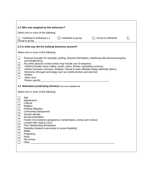|                                                                                                                                                                                                                                                                                                                                                                                                                             | 2:1 Who was targeted by this behaviour?                                                                                                                                                                                                                                                                                                                                                                                                                                     |  |  |  |  |  |  |  |  |
|-----------------------------------------------------------------------------------------------------------------------------------------------------------------------------------------------------------------------------------------------------------------------------------------------------------------------------------------------------------------------------------------------------------------------------|-----------------------------------------------------------------------------------------------------------------------------------------------------------------------------------------------------------------------------------------------------------------------------------------------------------------------------------------------------------------------------------------------------------------------------------------------------------------------------|--|--|--|--|--|--|--|--|
|                                                                                                                                                                                                                                                                                                                                                                                                                             | Select one or more of the following:                                                                                                                                                                                                                                                                                                                                                                                                                                        |  |  |  |  |  |  |  |  |
|                                                                                                                                                                                                                                                                                                                                                                                                                             | Individual to individual 1:1<br>$\Box$ Individual to group<br>$\Box$ Group to individual<br>Group to group                                                                                                                                                                                                                                                                                                                                                                  |  |  |  |  |  |  |  |  |
|                                                                                                                                                                                                                                                                                                                                                                                                                             | 2.2 In what way did the bullying behaviour present?                                                                                                                                                                                                                                                                                                                                                                                                                         |  |  |  |  |  |  |  |  |
|                                                                                                                                                                                                                                                                                                                                                                                                                             | Select one or more of the following:                                                                                                                                                                                                                                                                                                                                                                                                                                        |  |  |  |  |  |  |  |  |
| $\Box$                                                                                                                                                                                                                                                                                                                                                                                                                      | Physical (includes for example, jostling, physical intimidation, interfering with personal property,<br>punching/kicking<br>Any other physical contact which may include use of weapons)<br>Verbal (includes name calling, insults, jokes, threats, spreading rumours)<br>Indirect (includes omission, isolation, refusal to work with/talk to/play with/help others)<br>Electronic (through technology such as mobile phones and internet)<br>Written<br><b>Other Acts</b> |  |  |  |  |  |  |  |  |
|                                                                                                                                                                                                                                                                                                                                                                                                                             | 2.3 Motivation (underlying themes): this is not a definitive list                                                                                                                                                                                                                                                                                                                                                                                                           |  |  |  |  |  |  |  |  |
|                                                                                                                                                                                                                                                                                                                                                                                                                             | Select one or more of the following:                                                                                                                                                                                                                                                                                                                                                                                                                                        |  |  |  |  |  |  |  |  |
| Age<br>Appearance<br>Cultural<br>Religion<br><b>Political Affiliation</b><br>Community background<br>Gender Identity<br><b>Sexual Orientation</b><br>Family Circumstance (pregnancy, marital status, young carer status)<br>Looked After Status (LAC)<br>Peer Relationship Breakdown<br>Disability (related to perceived or actual disability)<br><b>Ability</b><br>Pregnancy<br>Race<br>Not known<br>Other <sub>____</sub> |                                                                                                                                                                                                                                                                                                                                                                                                                                                                             |  |  |  |  |  |  |  |  |

 $\mathsf{r}$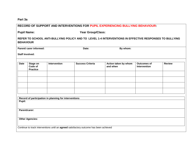**Part 3a**

|                                         |                                        |                                                       |                                                                                        | <b>RECORD OF SUPPORT AND INTERVENTIONS FOR PUPIL EXPERIENCING BULLYING BEHAVIOUR:</b>                  |                                    |               |
|-----------------------------------------|----------------------------------------|-------------------------------------------------------|----------------------------------------------------------------------------------------|--------------------------------------------------------------------------------------------------------|------------------------------------|---------------|
| Year Group/Class:<br><b>Pupil Name:</b> |                                        |                                                       |                                                                                        |                                                                                                        |                                    |               |
| <b>BEHAVIOUR</b>                        |                                        |                                                       |                                                                                        | REFER TO SCHOOL ANTI-BULLYING POLICY AND TO LEVEL 1-4 INTERVENTIONS IN EFFECTIVE RESPONSES TO BULLYING |                                    |               |
|                                         | Parent/ carer informed:                |                                                       | Date:                                                                                  | By whom:                                                                                               |                                    |               |
| <b>Staff Involved:</b>                  |                                        |                                                       |                                                                                        |                                                                                                        |                                    |               |
| <b>Date</b>                             | Stage on<br>Code of<br><b>Practice</b> | <b>Intervention</b>                                   | <b>Success Criteria</b>                                                                | Action taken by whom<br>and when                                                                       | <b>Outcomes of</b><br>Intervention | <b>Review</b> |
|                                         |                                        |                                                       |                                                                                        |                                                                                                        |                                    |               |
|                                         |                                        |                                                       |                                                                                        |                                                                                                        |                                    |               |
|                                         |                                        | Record of participation in planning for interventions |                                                                                        |                                                                                                        |                                    |               |
| Pupil:                                  |                                        |                                                       |                                                                                        |                                                                                                        |                                    |               |
| Parent/carer:                           |                                        |                                                       |                                                                                        |                                                                                                        |                                    |               |
|                                         | <b>Other Agencies:</b>                 |                                                       |                                                                                        |                                                                                                        |                                    |               |
|                                         |                                        |                                                       | Continue to track interventions until an agreed satisfactory outcome has been achieved |                                                                                                        |                                    |               |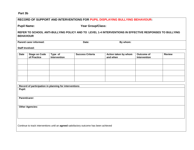# **Part 3b**

|                                         |                                     |                                                       |                                                                                        | RECORD OF SUPPORT AND INTERVENTIONS FOR PUPIL DISPLAYING BULLYING BEHAVIOUR:                           |                                   |               |
|-----------------------------------------|-------------------------------------|-------------------------------------------------------|----------------------------------------------------------------------------------------|--------------------------------------------------------------------------------------------------------|-----------------------------------|---------------|
| <b>Pupil Name:</b><br>Year Group/Class: |                                     |                                                       |                                                                                        |                                                                                                        |                                   |               |
| <b>BEHAVIOUR</b>                        |                                     |                                                       |                                                                                        | REFER TO SCHOOL ANTI-BULLYING POLICY AND TO LEVEL 1-4 INTERVENTIONS IN EFFECTIVE RESPONSES TO BULLYING |                                   |               |
| <b>Staff Involved:</b>                  | Parent/ carer informed:             |                                                       | Date:                                                                                  | By whom:                                                                                               |                                   |               |
| <b>Date</b>                             | <b>Stage on Code</b><br>of Practice | Type of<br>Intervention                               | <b>Success Criteria</b>                                                                | Action taken by whom<br>and when                                                                       | <b>Outcome of</b><br>Intervention | <b>Review</b> |
|                                         |                                     |                                                       |                                                                                        |                                                                                                        |                                   |               |
|                                         |                                     |                                                       |                                                                                        |                                                                                                        |                                   |               |
|                                         |                                     |                                                       |                                                                                        |                                                                                                        |                                   |               |
| Pupil:                                  |                                     | Record of participation in planning for interventions |                                                                                        |                                                                                                        |                                   |               |
| Parent/carer:                           |                                     |                                                       |                                                                                        |                                                                                                        |                                   |               |
|                                         | <b>Other Agencies:</b>              |                                                       |                                                                                        |                                                                                                        |                                   |               |
|                                         |                                     |                                                       | Continue to track interventions until an agreed satisfactory outcome has been achieved |                                                                                                        |                                   |               |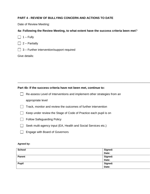# **PART 4 - REVIEW OF BULLYING CONCERN AND ACTIONS TO DATE**

Date of Review Meeting:

# **4a- Following the Review Meeting, to what extent have the success criteria been met**?

 $\Box$  1 – Fully

 $\Box$  2 – Partially

 $\Box$  3 – Further intervention/support required

Give details:

#### **Part 4b- If the success criteria have not been met, continue to:**

Re-assess Level of Interventions and implement other strategies from an appropriate level

\_\_\_\_\_\_\_\_\_\_\_\_\_\_\_\_\_\_\_\_\_\_\_\_\_\_\_\_\_\_\_\_\_\_\_\_\_\_\_\_\_\_\_\_\_\_\_\_\_\_\_\_\_\_\_\_\_\_\_\_\_\_\_\_\_\_\_\_\_\_\_\_\_\_\_\_\_\_\_\_\_\_\_\_\_\_\_\_\_\_\_\_\_\_\_\_\_\_\_\_\_\_\_\_\_\_\_\_\_\_\_\_\_\_\_\_\_\_\_\_\_\_\_\_\_\_\_\_\_\_\_\_\_\_\_\_\_\_\_

- $\Box$  Track, monitor and review the outcomes of further intervention
- Keep under review the Stage of Code of Practice each pupil is on
- **Follow Safeguarding Policy**
- Seek multi-agency input (EA, Health and Social Services etc.)
- □ Engage with Board of Governors

#### **Agreed by:**

| <b>School</b> | Signed: |
|---------------|---------|
|               | Date:   |
| Parent        | Signed: |
|               | Date:   |
| <b>Pupil</b>  | Signed: |
|               | Date:   |